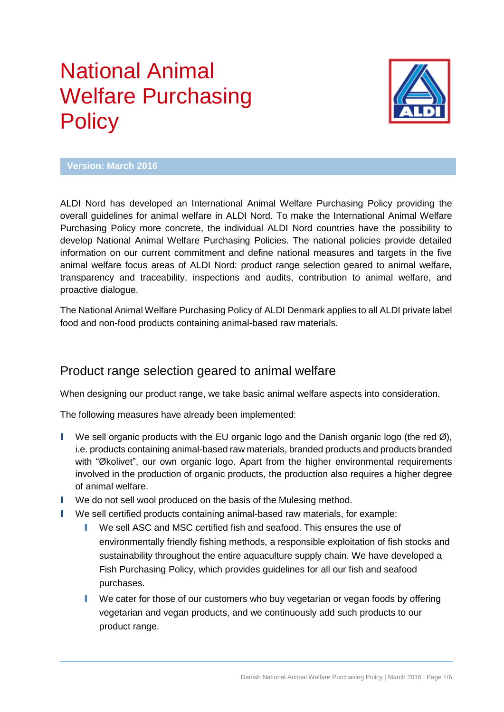# National Animal Welfare Purchasing **Policy**



#### **Version: March 2016**

ALDI Nord has developed an International Animal Welfare Purchasing Policy providing the overall guidelines for animal welfare in ALDI Nord. To make the International Animal Welfare Purchasing Policy more concrete, the individual ALDI Nord countries have the possibility to develop National Animal Welfare Purchasing Policies. The national policies provide detailed information on our current commitment and define national measures and targets in the five animal welfare focus areas of ALDI Nord: product range selection geared to animal welfare, transparency and traceability, inspections and audits, contribution to animal welfare, and proactive dialogue.

The National Animal Welfare Purchasing Policy of ALDI Denmark applies to all ALDI private label food and non-food products containing animal-based raw materials.

#### Product range selection geared to animal welfare

When designing our product range, we take basic animal welfare aspects into consideration.

The following measures have already been implemented:

- I We sell organic products with the EU organic logo and the Danish organic logo (the red  $\varnothing$ ), i.e. products containing animal-based raw materials, branded products and products branded with "Økolivet", our own organic logo. Apart from the higher environmental requirements involved in the production of organic products, the production also requires a higher degree of animal welfare.
- I We do not sell wool produced on the basis of the Mulesing method.
- I We sell certified products containing animal-based raw materials, for example:
	- I We sell ASC and MSC certified fish and seafood. This ensures the use of environmentally friendly fishing methods, a responsible exploitation of fish stocks and sustainability throughout the entire aquaculture supply chain. We have developed a Fish Purchasing Policy, which provides guidelines for all our fish and seafood purchases.
	- I We cater for those of our customers who buy vegetarian or vegan foods by offering vegetarian and vegan products, and we continuously add such products to our product range.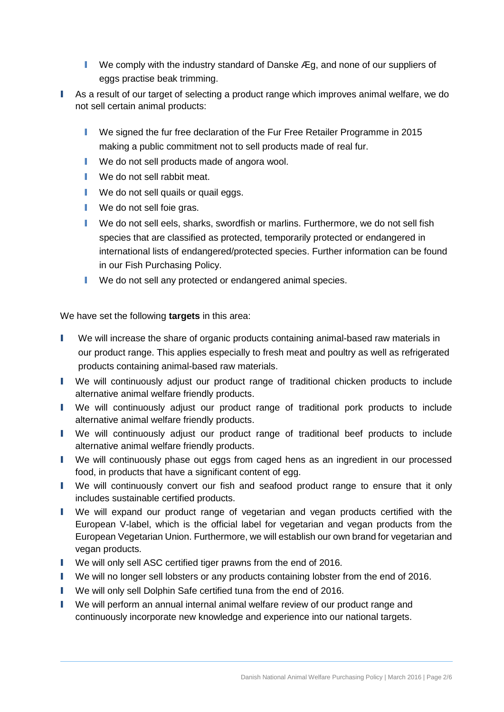- **I** We comply with the industry standard of Danske Æg, and none of our suppliers of eggs practise beak trimming.
- I As a result of our target of selecting a product range which improves animal welfare, we do not sell certain animal products:
	- I We signed the fur free declaration of the Fur Free Retailer Programme in 2015 making a public commitment not to sell products made of real fur.
	- We do not sell products made of angora wool.
	- **I** We do not sell rabbit meat.
	- **I** We do not sell quails or quail eggs.
	- **I** We do not sell foie gras.
	- I We do not sell eels, sharks, swordfish or marlins. Furthermore, we do not sell fish species that are classified as protected, temporarily protected or endangered in international lists of endangered/protected species. Further information can be found in our Fish Purchasing Policy.
	- **I** We do not sell any protected or endangered animal species.

We have set the following **targets** in this area:

- I We will increase the share of organic products containing animal-based raw materials in our product range. This applies especially to fresh meat and poultry as well as refrigerated products containing animal-based raw materials.
- I We will continuously adjust our product range of traditional chicken products to include alternative animal welfare friendly products.
- I We will continuously adjust our product range of traditional pork products to include alternative animal welfare friendly products.
- I We will continuously adjust our product range of traditional beef products to include alternative animal welfare friendly products.
- I We will continuously phase out eggs from caged hens as an ingredient in our processed food, in products that have a significant content of egg.
- I We will continuously convert our fish and seafood product range to ensure that it only includes sustainable certified products.
- I We will expand our product range of vegetarian and vegan products certified with the European V-label, which is the official label for vegetarian and vegan products from the European Vegetarian Union. Furthermore, we will establish our own brand for vegetarian and vegan products.
- I We will only sell ASC certified tiger prawns from the end of 2016.
- I We will no longer sell lobsters or any products containing lobster from the end of 2016.
- I We will only sell Dolphin Safe certified tuna from the end of 2016.
- I We will perform an annual internal animal welfare review of our product range and continuously incorporate new knowledge and experience into our national targets.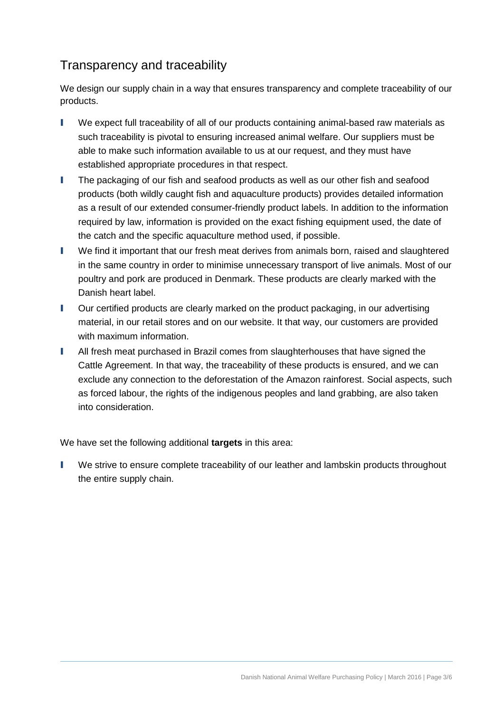# Transparency and traceability

We design our supply chain in a way that ensures transparency and complete traceability of our products.

- I We expect full traceability of all of our products containing animal-based raw materials as such traceability is pivotal to ensuring increased animal welfare. Our suppliers must be able to make such information available to us at our request, and they must have established appropriate procedures in that respect.
- I The packaging of our fish and seafood products as well as our other fish and seafood products (both wildly caught fish and aquaculture products) provides detailed information as a result of our extended consumer-friendly product labels. In addition to the information required by law, information is provided on the exact fishing equipment used, the date of the catch and the specific aquaculture method used, if possible.
- I We find it important that our fresh meat derives from animals born, raised and slaughtered in the same country in order to minimise unnecessary transport of live animals. Most of our poultry and pork are produced in Denmark. These products are clearly marked with the Danish heart label.
- I Our certified products are clearly marked on the product packaging, in our advertising material, in our retail stores and on our website. It that way, our customers are provided with maximum information.
- I All fresh meat purchased in Brazil comes from slaughterhouses that have signed the Cattle Agreement. In that way, the traceability of these products is ensured, and we can exclude any connection to the deforestation of the Amazon rainforest. Social aspects, such as forced labour, the rights of the indigenous peoples and land grabbing, are also taken into consideration.

We have set the following additional **targets** in this area:

I We strive to ensure complete traceability of our leather and lambskin products throughout the entire supply chain.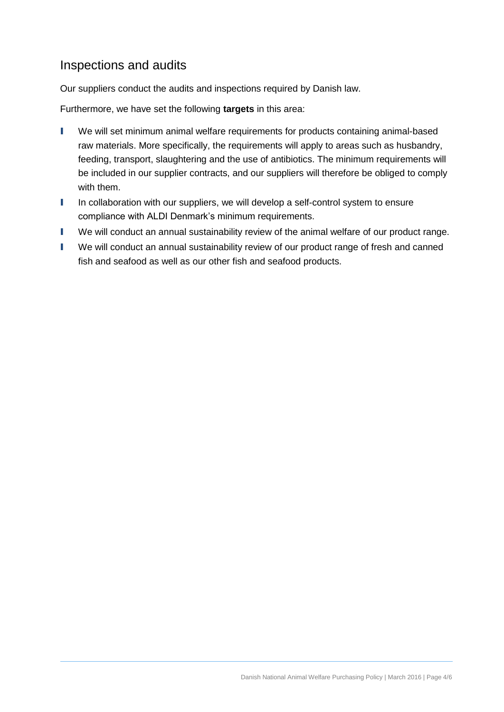#### Inspections and audits

Our suppliers conduct the audits and inspections required by Danish law.

Furthermore, we have set the following **targets** in this area:

- I We will set minimum animal welfare requirements for products containing animal-based raw materials. More specifically, the requirements will apply to areas such as husbandry, feeding, transport, slaughtering and the use of antibiotics. The minimum requirements will be included in our supplier contracts, and our suppliers will therefore be obliged to comply with them.
- I In collaboration with our suppliers, we will develop a self-control system to ensure compliance with ALDI Denmark's minimum requirements.
- I We will conduct an annual sustainability review of the animal welfare of our product range.
- I We will conduct an annual sustainability review of our product range of fresh and canned fish and seafood as well as our other fish and seafood products.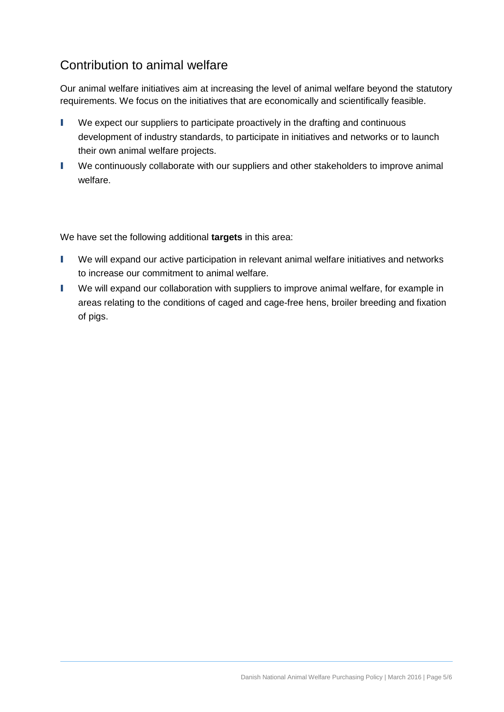### Contribution to animal welfare

Our animal welfare initiatives aim at increasing the level of animal welfare beyond the statutory requirements. We focus on the initiatives that are economically and scientifically feasible.

- I We expect our suppliers to participate proactively in the drafting and continuous development of industry standards, to participate in initiatives and networks or to launch their own animal welfare projects.
- I We continuously collaborate with our suppliers and other stakeholders to improve animal welfare.

We have set the following additional **targets** in this area:

- I We will expand our active participation in relevant animal welfare initiatives and networks to increase our commitment to animal welfare.
- I We will expand our collaboration with suppliers to improve animal welfare, for example in areas relating to the conditions of caged and cage-free hens, broiler breeding and fixation of pigs.